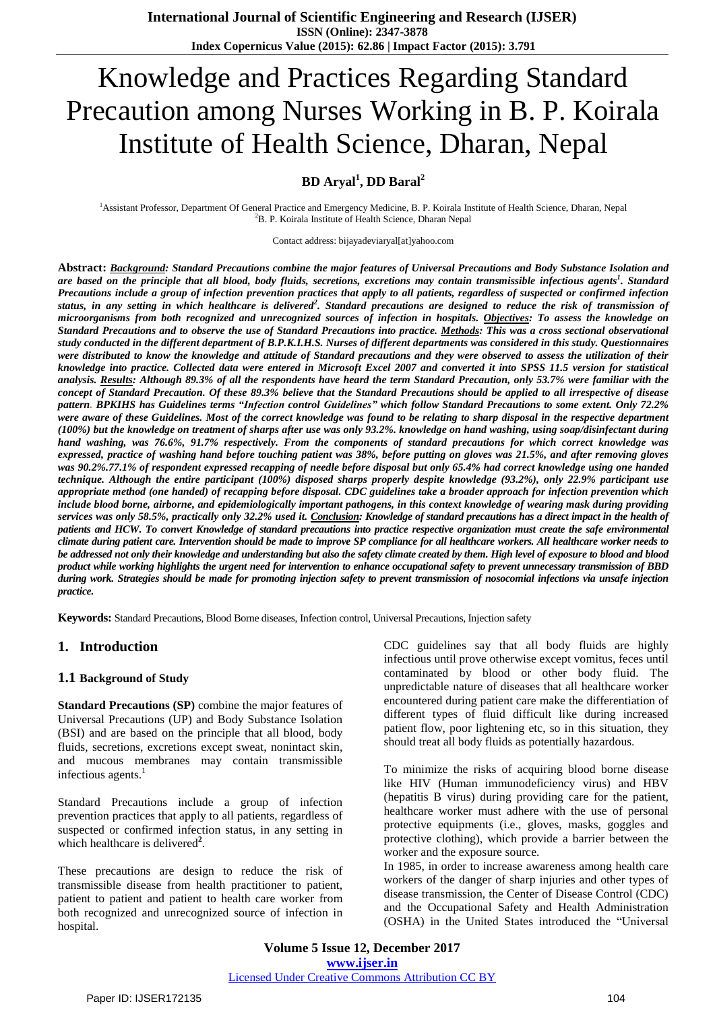# Knowledge and Practices Regarding Standard Precaution among Nurses Working in B. P. Koirala Institute of Health Science, Dharan, Nepal

**BD Aryal<sup>1</sup> , DD Baral<sup>2</sup>**

<sup>1</sup>Assistant Professor, Department Of General Practice and Emergency Medicine, B. P. Koirala Institute of Health Science, Dharan, Nepal <sup>2</sup>B. P. Koirala Institute of Health Science, Dharan Nepal

Contact address: bijayadeviaryal[at]yahoo.com

Abstract: Background: Standard Precautions combine the major features of Universal Precautions and Body Substance Isolation and are based on the principle that all blood, body fluids, secretions, excretions may contain transmissible infectious agents<sup>1</sup>. Standard Precautions include a group of infection prevention practices that apply to all patients, regardless of suspected or confirmed infection status, in any setting in which healthcare is delivered<sup>2</sup>. Standard precautions are designed to reduce the risk of transmission of microorganisms from both recognized and unrecognized sources of infection in hospitals. Objectives: To assess the knowledge on Standard Precautions and to observe the use of Standard Precautions into practice. Methods: This was a cross sectional observational study conducted in the different department of B.P.K.I.H.S. Nurses of different departments was considered in this study. Questionnaires were distributed to know the knowledge and attitude of Standard precautions and they were observed to assess the utilization of their knowledge into practice. Collected data were entered in Microsoft Excel 2007 and converted it into SPSS 11.5 version for statistical analysis. Results: Although 89.3% of all the respondents have heard the term Standard Precaution, only 53.7% were familiar with the concept of Standard Precaution. Of these 89.3% believe that the Standard Precautions should be applied to all irrespective of disease pattern. BPKIHS has Guidelines terms "Infection control Guidelines" which follow Standard Precautions to some extent. Only 72.2% were aware of these Guidelines. Most of the correct knowledge was found to be relating to sharp disposal in the respective department (100%) but the knowledge on treatment of sharps after use was only 93.2%. knowledge on hand washing, using soap/disinfectant during hand washing, was 76.6%, 91.7% respectively. From the components of standard precautions for which correct knowledge was expressed, practice of washing hand before touching patient was 38%, before putting on gloves was 21.5%, and after removing gloves was 90.2%.77.1% of respondent expressed recapping of needle before disposal but only 65.4% had correct knowledge using one handed technique. Although the entire participant (100%) disposed sharps properly despite knowledge (93.2%), only 22.9% participant use appropriate method (one handed) of recapping before disposal. CDC guidelines take a broader approach for infection prevention which *include blood borne, airborne, and epidemiologically important pathogens, in this context knowledge of wearing mask during providing* services was only 58.5%, practically only 32.2% used it. Conclusion: Knowledge of standard precautions has a direct impact in the health of patients and HCW. To convert Knowledge of standard precautions into practice respective organization must create the safe environmental climate during patient care. Intervention should be made to improve SP compliance for all healthcare workers. All healthcare worker needs to be addressed not only their knowledge and understanding but also the safety climate created by them. High level of exposure to blood and blood product while working highlights the urgent need for intervention to enhance occupational safety to prevent unnecessary transmission of BBD during work. Strategies should be made for promoting injection safety to prevent transmission of nosocomial infections via unsafe injection *practice.*

**Keywords:** Standard Precautions, Blood Borne diseases, Infection control, Universal Precautions, Injection safety

#### **1. Introduction**

#### **1.1 Background of Study**

**Standard Precautions (SP)** combine the major features of Universal Precautions (UP) and Body Substance Isolation (BSI) and are based on the principle that all blood, body fluids, secretions, excretions except sweat, nonintact skin, and mucous membranes may contain transmissible infectious agents.<sup>1</sup>

Standard Precautions include a group of infection prevention practices that apply to all patients, regardless of suspected or confirmed infection status, in any setting in which healthcare is delivered<sup>2</sup>.

These precautions are design to reduce the risk of transmissible disease from health practitioner to patient, patient to patient and patient to health care worker from both recognized and unrecognized source of infection in hospital.

CDC guidelines say that all body fluids are highly infectious until prove otherwise except vomitus, feces until contaminated by blood or other body fluid. The unpredictable nature of diseases that all healthcare worker encountered during patient care make the differentiation of different types of fluid difficult like during increased patient flow, poor lightening etc, so in this situation, they should treat all body fluids as potentially hazardous.

To minimize the risks of acquiring blood borne disease like HIV (Human immunodeficiency virus) and HBV (hepatitis B virus) during providing care for the patient, healthcare worker must adhere with the use of personal protective equipments (i.e., gloves, masks, goggles and protective clothing), which provide a barrier between the worker and the exposure source.

In 1985, in order to increase awareness among health care workers of the danger of sharp injuries and other types of disease transmission, the Center of Disease Control (CDC) and the Occupational Safety and Health Administration (OSHA) in the United States introduced the "Universal

**Volume 5 Issue 12, December 2017 <www.ijser.in>** [Licensed Under Creative Commons Attribution CC BY](http://creativecommons.org/licenses/by/4.0/)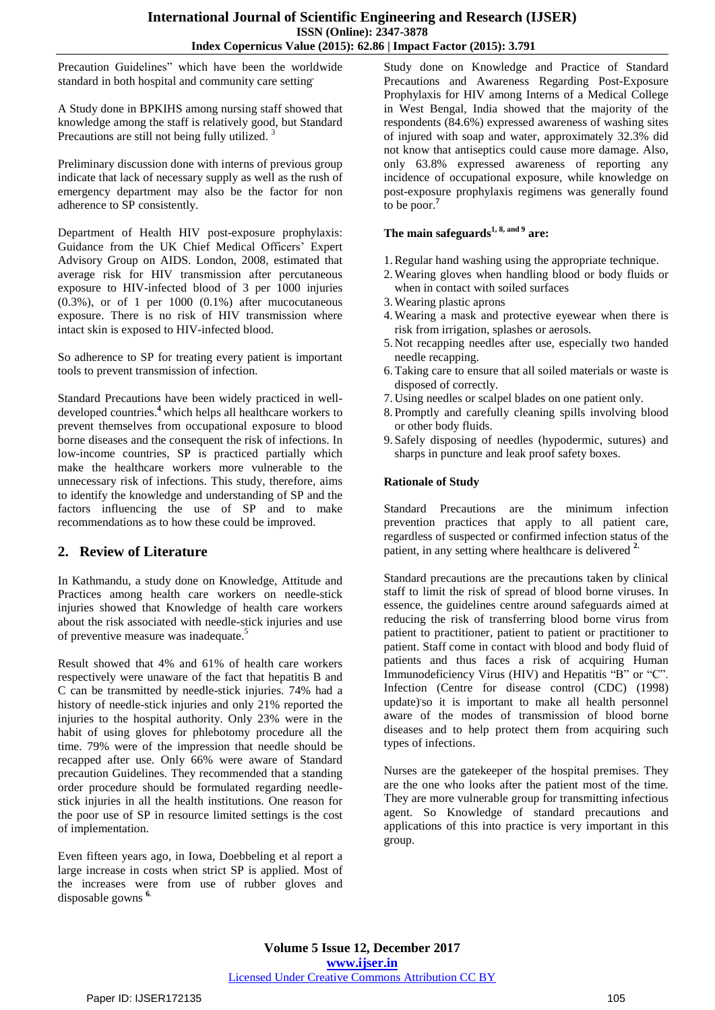Precaution Guidelines" which have been the worldwide standard in both hospital and community care setting**.**

A Study done in BPKIHS among nursing staff showed that knowledge among the staff is relatively good, but Standard Precautions are still not being fully utilized.<sup>3</sup>

Preliminary discussion done with interns of previous group indicate that lack of necessary supply as well as the rush of emergency department may also be the factor for non adherence to SP consistently.

Department of Health HIV post-exposure prophylaxis: Guidance from the UK Chief Medical Officers' Expert Advisory Group on AIDS. London, 2008, estimated that average risk for HIV transmission after percutaneous exposure to HIV-infected blood of 3 per 1000 injuries  $(0.3\%)$ , or of 1 per 1000  $(0.1\%)$  after mucocutaneous exposure. There is no risk of HIV transmission where intact skin is exposed to HIV-infected blood.

So adherence to SP for treating every patient is important tools to prevent transmission of infection.

Standard Precautions have been widely practiced in welldeveloped countries. **<sup>4</sup>** which helps all healthcare workers to prevent themselves from occupational exposure to blood borne diseases and the consequent the risk of infections. In low-income countries, SP is practiced partially which make the healthcare workers more vulnerable to the unnecessary risk of infections. This study, therefore, aims to identify the knowledge and understanding of SP and the factors influencing the use of SP and to make recommendations as to how these could be improved.

## **2. Review of Literature**

In Kathmandu, a study done on Knowledge, Attitude and Practices among health care workers on needle-stick injuries showed that Knowledge of health care workers about the risk associated with needle-stick injuries and use of preventive measure was inadequate.<sup>5</sup>

Result showed that 4% and 61% of health care workers respectively were unaware of the fact that hepatitis B and C can be transmitted by needle-stick injuries. 74% had a history of needle-stick injuries and only 21% reported the injuries to the hospital authority. Only 23% were in the habit of using gloves for phlebotomy procedure all the time. 79% were of the impression that needle should be recapped after use. Only 66% were aware of Standard precaution Guidelines. They recommended that a standing order procedure should be formulated regarding needlestick injuries in all the health institutions. One reason for the poor use of SP in resource limited settings is the cost of implementation.

Even fifteen years ago, in Iowa, Doebbeling et al report a large increase in costs when strict SP is applied. Most of the increases were from use of rubber gloves and disposable gowns **<sup>6</sup>**.

Study done on Knowledge and Practice of Standard Precautions and Awareness Regarding Post-Exposure Prophylaxis for HIV among Interns of a Medical College in West Bengal, India showed that the majority of the respondents (84.6%) expressed awareness of washing sites of injured with soap and water, approximately 32.3% did not know that antiseptics could cause more damage. Also, only 63.8% expressed awareness of reporting any incidence of occupational exposure, while knowledge on post-exposure prophylaxis regimens was generally found to be poor.**<sup>7</sup>**

#### **The main safeguards1, 8, and <sup>9</sup> are:**

- 1.Regular hand washing using the appropriate technique.
- 2.Wearing gloves when handling blood or body fluids or when in contact with soiled surfaces
- 3.Wearing plastic aprons
- 4.Wearing a mask and protective eyewear when there is risk from irrigation, splashes or aerosols.
- 5. Not recapping needles after use, especially two handed needle recapping.
- 6.Taking care to ensure that all soiled materials or waste is disposed of correctly.
- 7. Using needles or scalpel blades on one patient only.
- 8. Promptly and carefully cleaning spills involving blood or other body fluids.
- 9. Safely disposing of needles (hypodermic, sutures) and sharps in puncture and leak proof safety boxes.

#### **Rationale of Study**

Standard Precautions are the minimum infection prevention practices that apply to all patient care, regardless of suspected or confirmed infection status of the patient, in any setting where healthcare is delivered **2.**

Standard precautions are the precautions taken by clinical staff to limit the risk of spread of blood borne viruses. In essence, the guidelines centre around safeguards aimed at reducing the risk of transferring blood borne virus from patient to practitioner, patient to patient or practitioner to patient. Staff come in contact with blood and body fluid of patients and thus faces a risk of acquiring Human Immunodeficiency Virus (HIV) and Hepatitis "B" or "C". Infection (Centre for disease control (CDC) (1998) update)**.** so it is important to make all health personnel aware of the modes of transmission of blood borne diseases and to help protect them from acquiring such types of infections.

Nurses are the gatekeeper of the hospital premises. They are the one who looks after the patient most of the time. They are more vulnerable group for transmitting infectious agent. So Knowledge of standard precautions and applications of this into practice is very important in this group.

**Volume 5 Issue 12, December 2017 <www.ijser.in>** [Licensed Under Creative Commons Attribution CC BY](http://creativecommons.org/licenses/by/4.0/)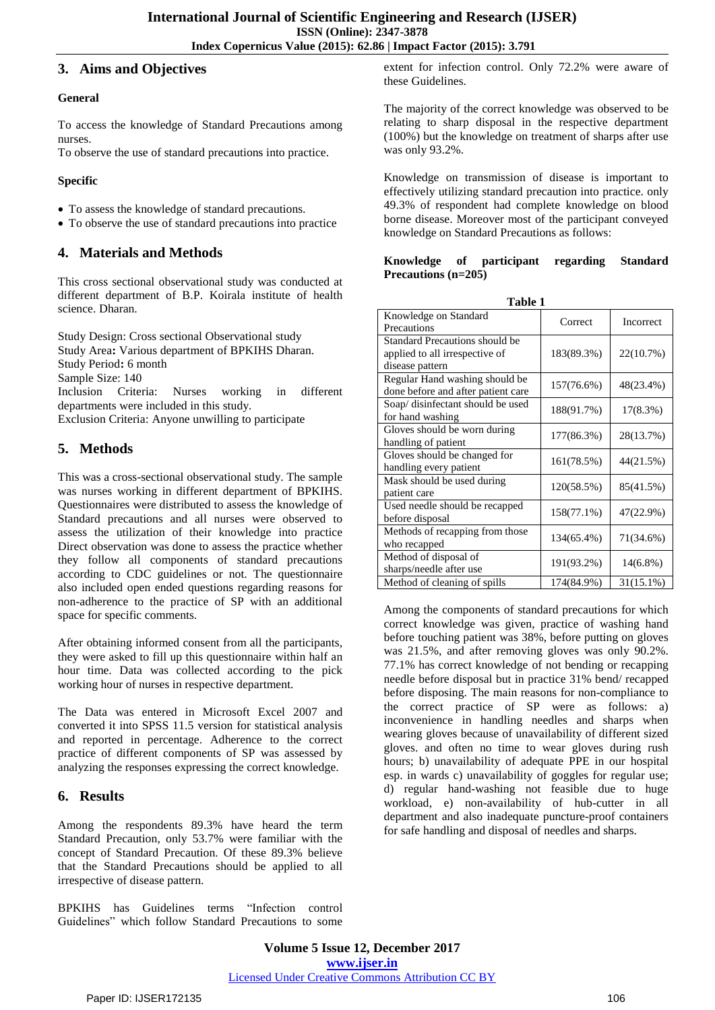### **3. Aims and Objectives**

#### **General**

To access the knowledge of Standard Precautions among nurses.

To observe the use of standard precautions into practice.

#### **Specific**

To assess the knowledge of standard precautions.

To observe the use of standard precautions into practice

## **4. Materials and Methods**

This cross sectional observational study was conducted at different department of B.P. Koirala institute of health science. Dharan.

Study Design: Cross sectional Observational study Study Area**:** Various department of BPKIHS Dharan. Study Period**:** 6 month Sample Size: 140

Inclusion Criteria: Nurses working in different departments were included in this study.

Exclusion Criteria: Anyone unwilling to participate

# **5. Methods**

This was a cross-sectional observational study. The sample was nurses working in different department of BPKIHS. Questionnaires were distributed to assess the knowledge of Standard precautions and all nurses were observed to assess the utilization of their knowledge into practice Direct observation was done to assess the practice whether they follow all components of standard precautions according to CDC guidelines or not. The questionnaire also included open ended questions regarding reasons for non-adherence to the practice of SP with an additional space for specific comments.

After obtaining informed consent from all the participants, they were asked to fill up this questionnaire within half an hour time. Data was collected according to the pick working hour of nurses in respective department.

The Data was entered in Microsoft Excel 2007 and converted it into SPSS 11.5 version for statistical analysis and reported in percentage. Adherence to the correct practice of different components of SP was assessed by analyzing the responses expressing the correct knowledge.

### **6. Results**

Among the respondents 89.3% have heard the term Standard Precaution, only 53.7% were familiar with the concept of Standard Precaution. Of these 89.3% believe that the Standard Precautions should be applied to all irrespective of disease pattern.

BPKIHS has Guidelines terms "Infection control Guidelines" which follow Standard Precautions to some extent for infection control. Only 72.2% were aware of these Guidelines.

The majority of the correct knowledge was observed to be relating to sharp disposal in the respective department (100%) but the knowledge on treatment of sharps after use was only 93.2%.

Knowledge on transmission of disease is important to effectively utilizing standard precaution into practice. only 49.3% of respondent had complete knowledge on blood borne disease. Moreover most of the participant conveyed knowledge on Standard Precautions as follows:

#### **Knowledge of participant regarding Standard Precautions (n=205)**

| Table 1                                                                 |            |              |  |
|-------------------------------------------------------------------------|------------|--------------|--|
| Knowledge on Standard                                                   | Correct    | Incorrect    |  |
| Precautions                                                             |            |              |  |
| <b>Standard Precautions should be</b><br>applied to all irrespective of | 183(89.3%) | 22(10.7%)    |  |
| disease pattern                                                         |            |              |  |
| Regular Hand washing should be<br>done before and after patient care    | 157(76.6%) | 48(23.4%)    |  |
| Soap/ disinfectant should be used<br>for hand washing                   | 188(91.7%) | $17(8.3\%)$  |  |
| Gloves should be worn during<br>handling of patient                     | 177(86.3%) | 28(13.7%)    |  |
| Gloves should be changed for<br>handling every patient                  | 161(78.5%) | 44(21.5%)    |  |
| Mask should be used during<br>patient care                              | 120(58.5%) | 85(41.5%)    |  |
| Used needle should be recapped<br>before disposal                       | 158(77.1%) | 47(22.9%)    |  |
| Methods of recapping from those<br>who recapped                         | 134(65.4%) | 71(34.6%)    |  |
| Method of disposal of<br>sharps/needle after use                        | 191(93.2%) | $14(6.8\%)$  |  |
| Method of cleaning of spills                                            | 174(84.9%) | $31(15.1\%)$ |  |

Among the components of standard precautions for which correct knowledge was given, practice of washing hand before touching patient was 38%, before putting on gloves was 21.5%, and after removing gloves was only 90.2%. 77.1% has correct knowledge of not bending or recapping needle before disposal but in practice 31% bend/ recapped before disposing. The main reasons for non-compliance to the correct practice of SP were as follows: a) inconvenience in handling needles and sharps when wearing gloves because of unavailability of different sized gloves. and often no time to wear gloves during rush hours; b) unavailability of adequate PPE in our hospital esp. in wards c) unavailability of goggles for regular use; d) regular hand-washing not feasible due to huge workload, e) non-availability of hub-cutter in all department and also inadequate puncture-proof containers for safe handling and disposal of needles and sharps.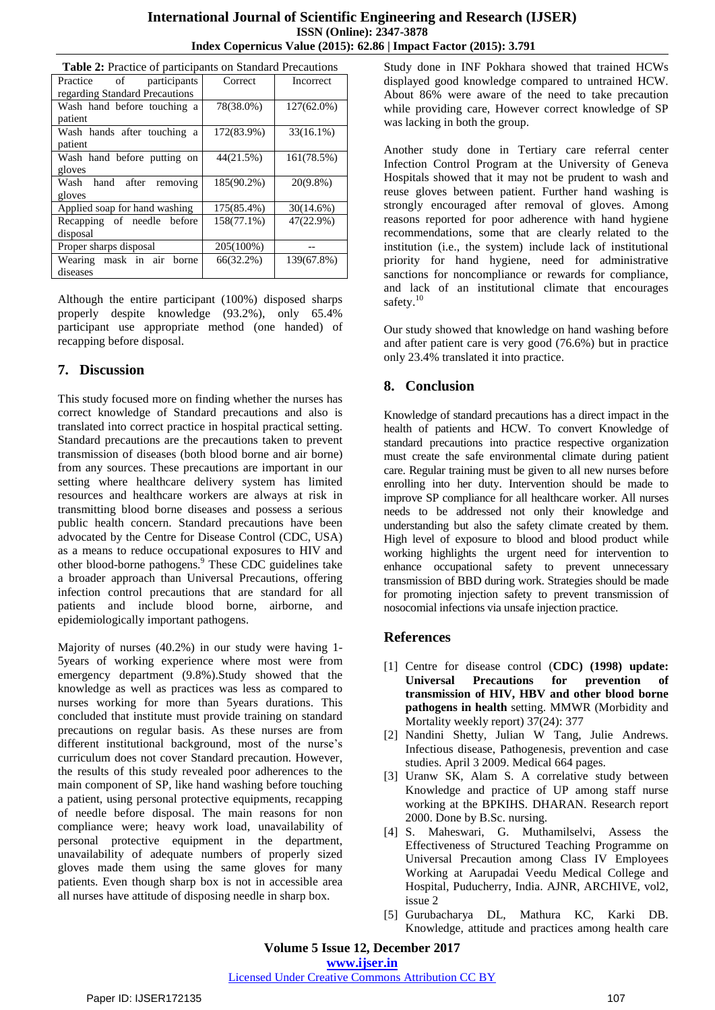| <b>Table 2:</b> Practice of participants on Standard Precautions |            |               |
|------------------------------------------------------------------|------------|---------------|
| of<br>participants<br>Practice                                   | Correct    | Incorrect     |
| regarding Standard Precautions                                   |            |               |
| Wash hand before touching a                                      | 78(38.0%)  | $127(62.0\%)$ |
| patient                                                          |            |               |
| Wash hands after touching a                                      | 172(83.9%) | $33(16.1\%)$  |
| patient                                                          |            |               |
| Wash hand before putting on                                      | 44(21.5%)  | 161(78.5%)    |
| gloves                                                           |            |               |
| Wash hand after<br>removing                                      | 185(90.2%) | $20(9.8\%)$   |
| gloves                                                           |            |               |
| Applied soap for hand washing                                    | 175(85.4%) | 30(14.6%)     |
| Recapping of needle before                                       | 158(77.1%) | 47(22.9%)     |
| disposal                                                         |            |               |
| Proper sharps disposal                                           | 205(100%)  |               |
| Wearing mask in air borne                                        | 66(32.2%)  | 139(67.8%)    |
| diseases                                                         |            |               |
|                                                                  |            |               |

**Table 2:** Practice of participants on Standard Precautions

Although the entire participant (100%) disposed sharps properly despite knowledge (93.2%), only 65.4% participant use appropriate method (one handed) of recapping before disposal.

#### **7. Discussion**

This study focused more on finding whether the nurses has correct knowledge of Standard precautions and also is translated into correct practice in hospital practical setting. Standard precautions are the precautions taken to prevent transmission of diseases (both blood borne and air borne) from any sources. These precautions are important in our setting where healthcare delivery system has limited resources and healthcare workers are always at risk in transmitting blood borne diseases and possess a serious public health concern. Standard precautions have been advocated by the Centre for Disease Control (CDC, USA) as a means to reduce occupational exposures to HIV and other blood-borne pathogens.<sup>9</sup> These CDC guidelines take a broader approach than Universal Precautions, offering infection control precautions that are standard for all patients and include blood borne, airborne, and epidemiologically important pathogens.

Majority of nurses (40.2%) in our study were having 1- 5years of working experience where most were from emergency department (9.8%).Study showed that the knowledge as well as practices was less as compared to nurses working for more than 5years durations. This concluded that institute must provide training on standard precautions on regular basis. As these nurses are from different institutional background, most of the nurse's curriculum does not cover Standard precaution. However, the results of this study revealed poor adherences to the main component of SP, like hand washing before touching a patient, using personal protective equipments, recapping of needle before disposal. The main reasons for non compliance were; heavy work load, unavailability of personal protective equipment in the department, unavailability of adequate numbers of properly sized gloves made them using the same gloves for many patients. Even though sharp box is not in accessible area all nurses have attitude of disposing needle in sharp box.

Study done in INF Pokhara showed that trained HCWs displayed good knowledge compared to untrained HCW. About 86% were aware of the need to take precaution while providing care, However correct knowledge of SP was lacking in both the group.

Another study done in Tertiary care referral center Infection Control Program at the University of Geneva Hospitals showed that it may not be prudent to wash and reuse gloves between patient. Further hand washing is strongly encouraged after removal of gloves. Among reasons reported for poor adherence with hand hygiene recommendations, some that are clearly related to the institution (i.e., the system) include lack of institutional priority for hand hygiene, need for administrative sanctions for noncompliance or rewards for compliance, and lack of an institutional climate that encourages safety.<sup>10</sup>

Our study showed that knowledge on hand washing before and after patient care is very good (76.6%) but in practice only 23.4% translated it into practice.

## **8. Conclusion**

Knowledge of standard precautions has a direct impact in the health of patients and HCW. To convert Knowledge of standard precautions into practice respective organization must create the safe environmental climate during patient care. Regular training must be given to all new nurses before enrolling into her duty. Intervention should be made to improve SP compliance for all healthcare worker. All nurses needs to be addressed not only their knowledge and understanding but also the safety climate created by them. High level of exposure to blood and blood product while working highlights the urgent need for intervention to enhance occupational safety to prevent unnecessary transmission of BBD during work. Strategies should be made for promoting injection safety to prevent transmission of nosocomial infections via unsafe injection practice.

### **References**

- [1] Centre for disease control (**CDC) (1998) update: Universal Precautions for prevention of transmission of HIV, HBV and other blood borne pathogens in health** setting. MMWR (Morbidity and Mortality weekly report) 37(24): 377
- [2] Nandini Shetty, Julian W Tang, Julie Andrews. Infectious disease, Pathogenesis, prevention and case studies. April 3 2009. Medical 664 pages.
- [3] Uranw SK, Alam S. A correlative study between Knowledge and practice of UP among staff nurse working at the BPKIHS. DHARAN. Research report 2000. Done by B.Sc. nursing.
- [4] S. Maheswari, G. Muthamilselvi, Assess the Effectiveness of Structured Teaching Programme on Universal Precaution among Class IV Employees Working at Aarupadai Veedu Medical College and Hospital, Puducherry, India. AJNR, ARCHIVE, vol2, issue 2
- [5] Gurubacharya DL, Mathura KC, Karki DB. Knowledge, attitude and practices among health care